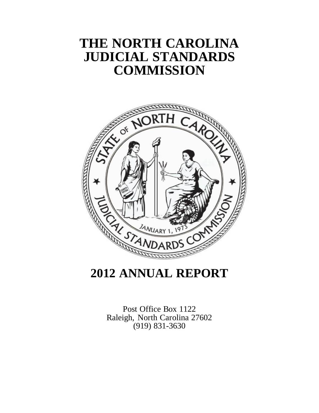# **THE NORTH CAROLINA JUDICIAL STANDARDS COMMISSION**



# **2012 ANNUAL REPORT**

Post Office Box 1122 Raleigh, North Carolina 27602 (919) 831-3630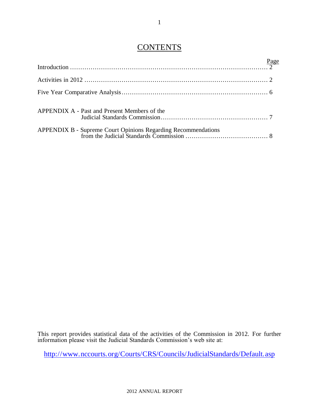## **CONTENTS**

| APPENDIX A - Past and Present Members of the |  |
|----------------------------------------------|--|
|                                              |  |

This report provides statistical data of the activities of the Commission in 2012. For further information please visit the Judicial Standards Commission's web site at:

<http://www.nccourts.org/Courts/CRS/Councils/JudicialStandards/Default.asp>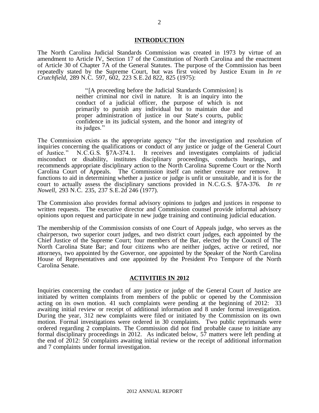#### **INTRODUCTION**

The North Carolina Judicial Standards Commission was created in 1973 by virtue of an amendment to Article IV, Section 17 of the Constitution of North Carolina and the enactment of Article 30 of Chapter 7A of the General Statutes. The purpose of the Commission has been repeatedly stated by the Supreme Court, but was first voiced by Justice Exum in *In re Crutchfield*, 289 N.C. 597, 602, 223 S.E.2d 822, 825 (1975):

> "[A proceeding before the Judicial Standards Commission] is neither criminal nor civil in nature. It is an inquiry into the conduct of a judicial officer, the purpose of which is not primarily to punish any individual but to maintain due and proper administration of justice in our State's courts, public confidence in its judicial system, and the honor and integrity of its judges."

The Commission exists as the appropriate agency "for the investigation and resolution of inquiries concerning the qualifications or conduct of any justice or judge of the General Court of Justice." N.C.G.S. §7A-374.1. It receives and investigates complaints of judicial misconduct or disability, institutes disciplinary proceedings, conducts hearings, and recommends appropriate disciplinary action to the North Carolina Supreme Court or the North Carolina Court of Appeals. The Commission itself can neither censure nor remove. It functions to aid in determining whether a justice or judge is unfit or unsuitable, and it is for the court to actually assess the disciplinary sanctions provided in N.C.G.S. §7A-376. *In re Nowell*, 293 N.C. 235, 237 S.E.2d 246 (1977).

The Commission also provides formal advisory opinions to judges and justices in response to written requests. The executive director and Commission counsel provide informal advisory opinions upon request and participate in new judge training and continuing judicial education.

The membership of the Commission consists of one Court of Appeals judge, who serves as the chairperson, two superior court judges, and two district court judges, each appointed by the Chief Justice of the Supreme Court; four members of the Bar, elected by the Council of The North Carolina State Bar; and four citizens who are neither judges, active or retired, nor attorneys, two appointed by the Governor, one appointed by the Speaker of the North Carolina House of Representatives and one appointed by the President Pro Tempore of the North Carolina Senate.

#### **ACTIVITIES IN 2012**

Inquiries concerning the conduct of any justice or judge of the General Court of Justice are initiated by written complaints from members of the public or opened by the Commission acting on its own motion. 41 such complaints were pending at the beginning of 2012: 33 awaiting initial review or receipt of additional information and 8 under formal investigation. During the year, 312 new complaints were filed or initiated by the Commission on its own motion. Formal investigations were ordered in 30 complaints. Two public reprimands were ordered regarding 2 complaints. The Commission did not find probable cause to initiate any formal disciplinary proceedings in 2012. As indicated below, 57 matters were left pending at the end of 2012: 50 complaints awaiting initial review or the receipt of additional information and 7 complaints under formal investigation.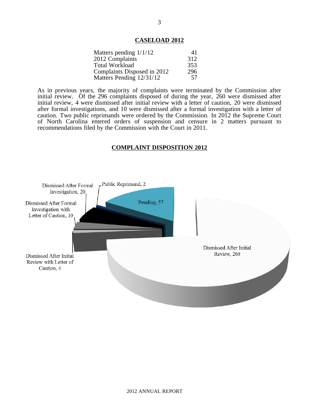#### **CASELOAD 2012**

| Matters pending $1/1/12$    | 41  |
|-----------------------------|-----|
| 2012 Complaints             | 312 |
| <b>Total Workload</b>       | 353 |
| Complaints Disposed in 2012 | 296 |
| Matters Pending 12/31/12    | 57  |

As in previous years, the majority of complaints were terminated by the Commission after initial review. Of the 296 complaints disposed of during the year, 260 were dismissed after initial review, 4 were dismissed after initial review with a letter of caution, 20 were dismissed after formal investigations, and 10 were dismissed after a formal investigation with a letter of caution. Two public reprimands were ordered by the Commission. In 2012 the Supreme Court of North Carolina entered orders of suspension and censure in 2 matters pursuant to recommendations filed by the Commission with the Court in 2011.

#### **COMPLAINT DISPOSITION 2012**

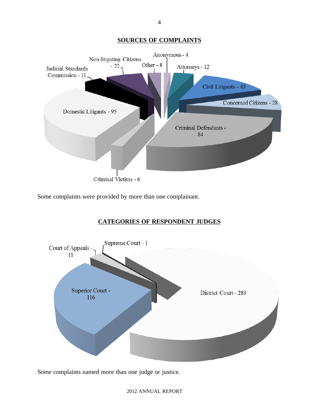#### **SOURCES OF COMPLAINTS**



Some complaints were provided by more than one complainant.

### **CATEGORIES OF RESPONDENT JUDGES**



Some complaints named more than one judge or justice.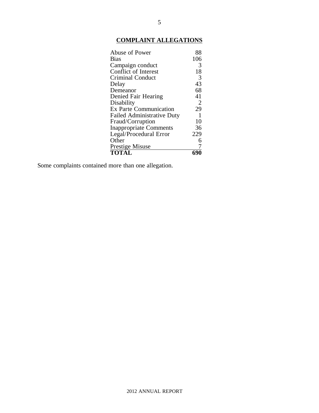## **COMPLAINT ALLEGATIONS**

| Abuse of Power                    | 88           |
|-----------------------------------|--------------|
| <b>Bias</b>                       | 106          |
| Campaign conduct                  | 3            |
| Conflict of Interest              | 18           |
| <b>Criminal Conduct</b>           | 3            |
| Delay                             | 43           |
| Demeanor                          | 68           |
| Denied Fair Hearing               | 41           |
| Disability                        | 2            |
| <b>Ex Parte Communication</b>     | 29           |
| <b>Failed Administrative Duty</b> | $\mathbf{1}$ |
| Fraud/Corruption                  | 10           |
| <b>Inappropriate Comments</b>     | 36           |
| Legal/Procedural Error            | 229          |
| Other                             | 6            |
| Prestige Misuse                   | 7            |
| <b>TOTAL</b>                      |              |

Some complaints contained more than one allegation.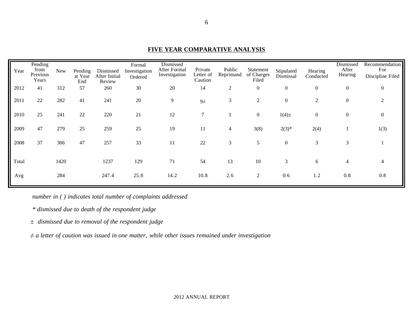| Year  | Pending<br>from<br>Previous<br>Years | <b>New</b> | Pending<br>at Year<br>End | Dismissed<br>After Initial<br>Review | Formal<br>Investigation<br>Ordered | Dismissed<br>After Formal<br>Investigation | Private<br>Letter of<br>Caution | Public<br>Reprimand | Statement<br>of Charges<br>Filed | Stipulated<br>Dismissal | Hearing<br>Conducted | Dismissed<br>After<br>Hearing | Recommendation<br>For<br>Discipline Filed |
|-------|--------------------------------------|------------|---------------------------|--------------------------------------|------------------------------------|--------------------------------------------|---------------------------------|---------------------|----------------------------------|-------------------------|----------------------|-------------------------------|-------------------------------------------|
| 2012  | 41                                   | 312        | 57                        | 260                                  | 30                                 | 20                                         | 14                              | $\overline{2}$      | $\boldsymbol{0}$                 | $\boldsymbol{0}$        | $\boldsymbol{0}$     | $\boldsymbol{0}$              | $\mathbf{0}$                              |
| 2011  | 22                                   | 282        | 41                        | 241                                  | 20                                 | 9                                          | $9\neq$                         | 3                   | $\mathfrak{2}$                   | $\boldsymbol{0}$        | $\mathfrak{2}$       | $\boldsymbol{0}$              | $\overline{2}$                            |
| 2010  | 25                                   | 241        | 22                        | 220                                  | 21                                 | 12                                         | $\overline{7}$                  |                     | $\overline{0}$                   | $1(4) \pm$              | $\boldsymbol{0}$     | 0                             | $\boldsymbol{0}$                          |
| 2009  | 47                                   | 279        | 25                        | 259                                  | 25                                 | 19                                         | 11                              | 4                   | 3(8)                             | $2(3)*$                 | 2(4)                 |                               | 1(3)                                      |
| 2008  | 37                                   | 306        | 47                        | 257                                  | 33                                 | 11                                         | 22                              | 3                   | 5                                | $\boldsymbol{0}$        | 3                    | 3                             |                                           |
| Total |                                      | 1420       |                           | 1237                                 | 129                                | 71                                         | 54                              | 13                  | 10                               | 3                       | 6                    | 4                             | 4                                         |
| Avg   |                                      | 284        |                           | 247.4                                | 25.8                               | 14.2                                       | 10.8                            | 2.6                 | $\overline{c}$                   | 0.6                     | 1.2                  | 0.8                           | 0.8                                       |

**FIVE YEAR COMPARATIVE ANALYSIS**

*number in ( ) indicates total number of complaints addressed*

*\* dismissed due to death of the respondent judge*

*± dismissed due to removal of the respondent judge*

*≠ a letter of caution was issued in one matter, while other issues remained under investigation*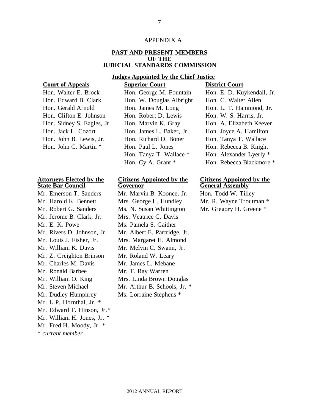#### APPENDIX A

#### **PAST AND PRESENT MEMBERS OF THE JUDICIAL STANDARDS COMMISSION**

#### **Judges Appointed by the Chief Justice**

**Court of Appeals Superior Court District Court**

| Hon. Walter E. Brock       | Ho    |
|----------------------------|-------|
| Hon. Edward B. Clark       | Ho    |
| Hon. Gerald Arnold         | $H_0$ |
| Hon. Clifton E. Johnson    | Ho    |
| Hon. Sidney S. Eagles, Jr. | Ho    |
| Hon. Jack L. Cozort        | Ho    |
| Hon. John B. Lewis, Jr.    | Ho    |
| Hon. John C. Martin *      | Ho    |
|                            |       |

#### **Attorneys Elected by the State Bar Council**

\* *current member* Mr. Jerome B. Clark, Jr. Mrs. Veatrice C. Davis Mr. E. K. Powe Ms. Pamela S. Gaither Mr. William K. Davis Mr. Melvin C. Swann, Jr. Mr. Z. Creighton Brinson Mr. Roland W. Leary Mr. Charles M. Davis Mr. James L. Mebane Mr. Ronald Barbee Mr. T. Ray Warren Mr. William O. King Mr. Steven Michael Mr. Dudley Humphrey Ms. Lorraine Stephens \* Mr. L.P. Hornthal, Jr. \* Mr. Edward T. Hinson, Jr.\* Mr. William H. Jones, Jr. \* Mr. Fred H. Moody, Jr. \*

|                            | $54.01$ $56.01$          | $\sim$ 10 to 10 to 0 to 10 to 10 to 10 to 10 to 10 to 10 to 10 to 10 to 10 to 10 to 10 to 10 to 10 to 10 to 10 to 10 to 10 to 10 to 10 to 10 to 10 to 10 to 10 to 10 to 10 to 10 to 10 to 10 to 10 to 10 to 10 to 10 to 10 to 1 |
|----------------------------|--------------------------|---------------------------------------------------------------------------------------------------------------------------------------------------------------------------------------------------------------------------------|
| Hon. Walter E. Brock       | Hon. George M. Fountain  | Hon. E. D. Kuykendall, Jr.                                                                                                                                                                                                      |
| Hon. Edward B. Clark       | Hon. W. Douglas Albright | Hon. C. Walter Allen                                                                                                                                                                                                            |
| Hon. Gerald Arnold         | Hon. James M. Long       | Hon. L. T. Hammond, Jr.                                                                                                                                                                                                         |
| Hon. Clifton E. Johnson    | Hon. Robert D. Lewis     | Hon. W. S. Harris, Jr.                                                                                                                                                                                                          |
| Hon. Sidney S. Eagles, Jr. | Hon. Marvin K. Gray      | Hon. A. Elizabeth Keever                                                                                                                                                                                                        |
| Hon. Jack L. Cozort        | Hon. James L. Baker, Jr. | Hon. Joyce A. Hamilton                                                                                                                                                                                                          |
| Hon. John B. Lewis, Jr.    | Hon. Richard D. Boner    | Hon. Tanya T. Wallace                                                                                                                                                                                                           |
| Hon. John C. Martin *      | Hon. Paul L. Jones       | Hon. Rebecca B. Knight                                                                                                                                                                                                          |
|                            | Hon. Tanya T. Wallace *  | Hon. Alexander Lyerly *                                                                                                                                                                                                         |
|                            | Hon. Cy A. Grant *       | Hon. Rebecca Blackmore *                                                                                                                                                                                                        |

#### **Citizens Appointed by the Governor**

Mr. Emerson T. Sanders Mr. Marvin B. Koonce, Jr. Hon. Todd W. Tilley Mr. Harold K. Bennett Mrs. George L. Hundley Mr. R. Wayne Troutman \* Mr. Robert G. Sanders Ms. N. Susan Whittington Mr. Gregory H. Greene \* Mr. Rivers D. Johnson, Jr. Mr. Albert E. Partridge, Jr. Mr. Louis J. Fisher, Jr. Mrs. Margaret H. Almond Mrs. Linda Brown Douglas Mr. Arthur B. Schools, Jr. \*

#### **Citizens Appointed by the General Assembly**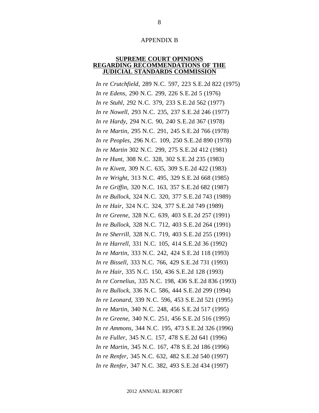#### APPENDIX B

#### **SUPREME COURT OPINIONS REGARDING RECOMMENDATIONS OF THE JUDICIAL STANDARDS COMMISSION**

*In re Crutchfield*, 289 N.C. 597, 223 S.E.2d 822 (1975) *In re Edens*, 290 N.C. 299, 226 S.E.2d 5 (1976) *In re Stuhl*, 292 N.C. 379, 233 S.E.2d 562 (1977) *In re Nowell*, 293 N.C. 235, 237 S.E.2d 246 (1977) *In re Hardy*, 294 N.C. 90, 240 S.E.2d 367 (1978) *In re Martin*, 295 N.C. 291, 245 S.E.2d 766 (1978) *In re Peoples*, 296 N.C. 109, 250 S.E.2d 890 (1978) *In re Martin* 302 N.C. 299, 275 S.E.2d 412 (1981) *In re Hunt*, 308 N.C. 328, 302 S.E.2d 235 (1983) *In re Kivett*, 309 N.C. 635, 309 S.E.2d 422 (1983) *In re Wright*, 313 N.C. 495, 329 S.E.2d 668 (1985) *In re Griffin*, 320 N.C. 163, 357 S.E.2d 682 (1987) *In re Bullock*, 324 N.C. 320, 377 S.E.2d 743 (1989) *In re Hair*, 324 N.C. 324, 377 S.E.2d 749 (1989) *In re Greene*, 328 N.C. 639, 403 S.E.2d 257 (1991) *In re Bullock*, 328 N.C. 712, 403 S.E.2d 264 (1991) *In re Sherrill*, 328 N.C. 719, 403 S.E.2d 255 (1991) *In re Harrell*, 331 N.C. 105, 414 S.E.2d 36 (1992) *In re Martin*, 333 N.C. 242, 424 S.E.2d 118 (1993) *In re Bissell*, 333 N.C. 766, 429 S.E.2d 731 (1993) *In re Hair*, 335 N.C. 150, 436 S.E.2d 128 (1993) *In re Cornelius*, 335 N.C. 198, 436 S.E.2d 836 (1993) *In re Bullock*, 336 N.C. 586, 444 S.E.2d 299 (1994) *In re Leonard*, 339 N.C. 596, 453 S.E.2d 521 (1995) *In re Martin*, 340 N.C. 248, 456 S.E.2d 517 (1995) *In re Greene*, 340 N.C. 251, 456 S.E.2d 516 (1995) *In re Ammons*, 344 N.C. 195, 473 S.E.2d 326 (1996) *In re Fuller*, 345 N.C. 157, 478 S.E.2d 641 (1996) *In re Martin*, 345 N.C. 167, 478 S.E.2d 186 (1996) *In re Renfer*, 345 N.C. 632, 482 S.E.2d 540 (1997) *In re Renfer*, 347 N.C. 382, 493 S.E.2d 434 (1997)